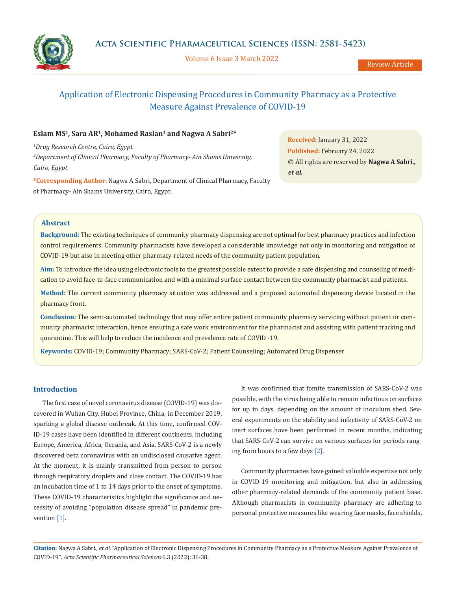

Volume 6 Issue 3 March 2022

Review Article

# Application of Electronic Dispensing Procedures in Community Pharmacy as a Protective Measure Against Prevalence of COVID-19

### **Eslam MS1, Sara AR1, Mohamed Raslan1 and Nagwa A Sabri2\***

*1 Drug Research Centre, Cairo, Egypt 2 Department of Clinical Pharmacy, Faculty of Pharmacy- Ain Shams University, Cairo, Egypt* 

**\*Corresponding Author:** Nagwa A Sabri, Department of Clinical Pharmacy, Faculty of Pharmacy- Ain Shams University, Cairo, Egypt.

**Received:** January 31, 2022 **Published:** February 24, 2022 © All rights are reserved by **Nagwa A Sabri***., et al.*

### **Abstract**

**Background:** The existing techniques of community pharmacy dispensing are not optimal for best pharmacy practices and infection control requirements. Community pharmacists have developed a considerable knowledge not only in monitoring and mitigation of COVID-19 but also in meeting other pharmacy-related needs of the community patient population.

**Aim:** To introduce the idea using electronic tools to the greatest possible extent to provide a safe dispensing and counseling of medication to avoid face-to-face communication and with a minimal surface contact between the community pharmacist and patients.

**Method:** The current community pharmacy situation was addressed and a proposed automated dispensing device located in the pharmacy front.

**Conclusion:** The semi-automated technology that may offer entire patient community pharmacy servicing without patient or community pharmacist interaction, hence ensuring a safe work environment for the pharmacist and assisting with patient tracking and quarantine. This will help to reduce the incidence and prevalence rate of COVID -19.

**Keywords:** COVID-19; Community Pharmacy; SARS-CoV-2; Patient Counseling; Automated Drug Dispenser

### **Introduction**

The first case of novel coronavirus disease (COVID-19) was discovered in Wuhan City, Hubei Province, China, in December 2019, sparking a global disease outbreak. At this time, confirmed COV-ID-19 cases have been identified in different continents, including Europe, America, Africa, Oceania, and Asia. SARS-CoV-2 is a newly discovered beta coronavirus with an undisclosed causative agent. At the moment, it is mainly transmitted from person to person through respiratory droplets and close contact. The COVID-19 has an incubation time of 1 to 14 days prior to the onset of symptoms. These COVID-19 characteristics highlight the significance and necessity of avoiding "population disease spread" in pandemic prevention [1].

It was confirmed that fomite transmission of SARS-CoV-2 was possible, with the virus being able to remain infectious on surfaces for up to days, depending on the amount of inoculum shed. Several experiments on the stability and infectivity of SARS-CoV-2 on inert surfaces have been performed in recent months, indicating that SARS-CoV-2 can survive on various surfaces for periods ranging from hours to a few days [2].

Community pharmacies have gained valuable expertise not only in COVID-19 monitoring and mitigation, but also in addressing other pharmacy-related demands of the community patient base. Although pharmacists in community pharmacy are adhering to personal protective measures like wearing face masks, face shields,

**Citation:** Nagwa A Sabri*., et al.* "Application of Electronic Dispensing Procedures in Community Pharmacy as a Protective Measure Against Prevalence of COVID-19". *Acta Scientific Pharmaceutical Sciences* 6.3 (2022): 36-38.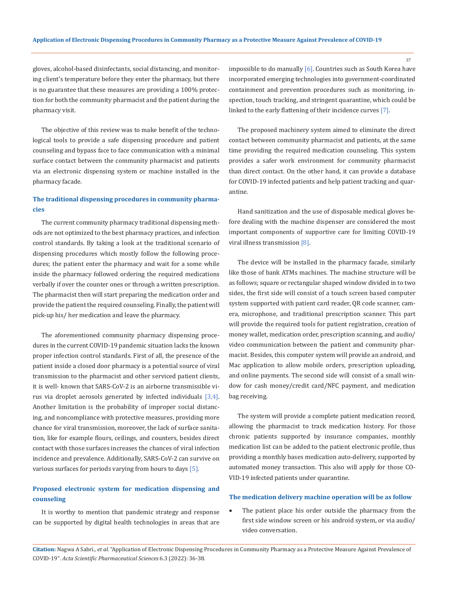gloves, alcohol-based disinfectants, social distancing, and monitoring client's temperature before they enter the pharmacy, but there is no guarantee that these measures are providing a 100% protection for both the community pharmacist and the patient during the pharmacy visit.

The objective of this review was to make benefit of the technological tools to provide a safe dispensing procedure and patient counseling and bypass face to face communication with a minimal surface contact between the community pharmacist and patients via an electronic dispensing system or machine installed in the pharmacy facade.

## **The traditional dispensing procedures in community pharmacies**

The current community pharmacy traditional dispensing methods are not optimized to the best pharmacy practices, and infection control standards. By taking a look at the traditional scenario of dispensing procedures which mostly follow the following procedures; the patient enter the pharmacy and wait for a some while inside the pharmacy followed ordering the required medications verbally if over the counter ones or through a written prescription. The pharmacist then will start preparing the medication order and provide the patient the required counseling. Finally, the patient will pick-up his/ her medication and leave the pharmacy.

The aforementioned community pharmacy dispensing procedures in the current COVID-19 pandemic situation lacks the known proper infection control standards. First of all, the presence of the patient inside a closed door pharmacy is a potential source of viral transmission to the pharmacist and other serviced patient clients, it is well- known that SARS-CoV-2 is an airborne transmissible virus via droplet aerosols generated by infected individuals [3,4]. Another limitation is the probability of improper social distancing, and noncompliance with protective measures, providing more chance for viral transmission, moreover, the lack of surface sanitation, like for example flours, ceilings, and counters, besides direct contact with those surfaces increases the chances of viral infection incidence and prevalence. Additionally, SARS-CoV-2 can survive on various surfaces for periods varying from hours to days [5].

# **Proposed electronic system for medication dispensing and counseling**

It is worthy to mention that pandemic strategy and response can be supported by digital health technologies in areas that are impossible to do manually [6]. Countries such as South Korea have incorporated emerging technologies into government-coordinated containment and prevention procedures such as monitoring, inspection, touch tracking, and stringent quarantine, which could be linked to the early flattening of their incidence curves [7].

The proposed machinery system aimed to eliminate the direct contact between community pharmacist and patients, at the same time providing the required medication counseling. This system provides a safer work environment for community pharmacist than direct contact. On the other hand, it can provide a database for COVID-19 infected patients and help patient tracking and quarantine.

Hand sanitization and the use of disposable medical gloves before dealing with the machine dispenser are considered the most important components of supportive care for limiting COVID-19 viral illness transmission [8].

The device will be installed in the pharmacy facade, similarly like those of bank ATMs machines. The machine structure will be as follows; square or rectangular shaped window divided in to two sides, the first side will consist of a touch screen based computer system supported with patient card reader, QR code scanner, camera, microphone, and traditional prescription scanner. This part will provide the required tools for patient registration, creation of money wallet, medication order, prescription scanning, and audio/ video communication between the patient and community pharmacist. Besides, this computer system will provide an android, and Mac application to allow mobile orders, prescription uploading, and online payments. The second side will consist of a small window for cash money/credit card/NFC payment, and medication bag receiving.

The system will provide a complete patient medication record, allowing the pharmacist to track medication history. For those chronic patients supported by insurance companies, monthly medication list can be added to the patient electronic profile, thus providing a monthly bases medication auto-delivery, supported by automated money transaction. This also will apply for those CO-VID-19 infected patients under quarantine.

#### **The medication delivery machine operation will be as follow**

The patient place his order outside the pharmacy from the first side window screen or his android system, or via audio/ video conversation.

**Citation:** Nagwa A Sabri*., et al.* "Application of Electronic Dispensing Procedures in Community Pharmacy as a Protective Measure Against Prevalence of COVID-19". *Acta Scientific Pharmaceutical Sciences* 6.3 (2022): 36-38.

37